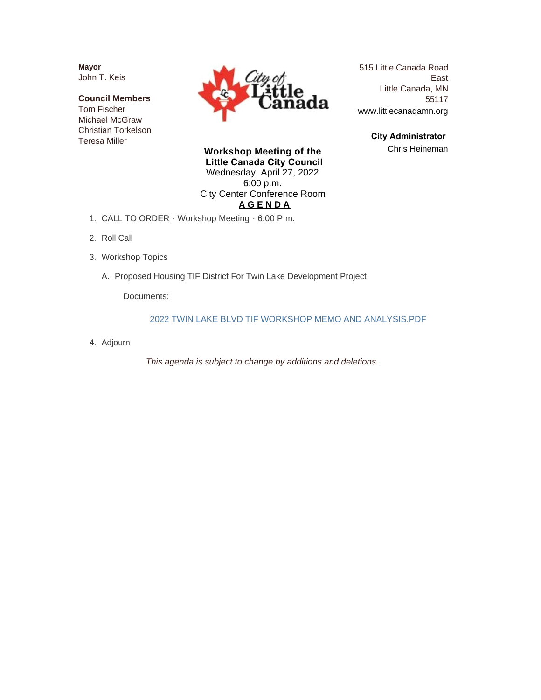**Mayor** John T. Keis

**Council Members** Tom Fischer Michael McGraw Christian Torkelson Teresa Miller



515 Little Canada Road East Little Canada, MN 55117 www.littlecanadamn.org

> **City Administrator**  Chris Heineman

**Workshop Meeting of the Little Canada City Council** Wednesday, April 27, 2022 6:00 p.m. City Center Conference Room **A G E N D A**

- CALL TO ORDER Workshop Meeting 6:00 P.m. 1.
- 2. Roll Call
- Workshop Topics 3.
	- A. Proposed Housing TIF District For Twin Lake Development Project

Documents:

2022 TWIN LAKE BLVD TIF WORKSHOP MEMO AND ANALYSIS.PDF

Adjourn 4.

*This agenda is subject to change by additions and deletions.*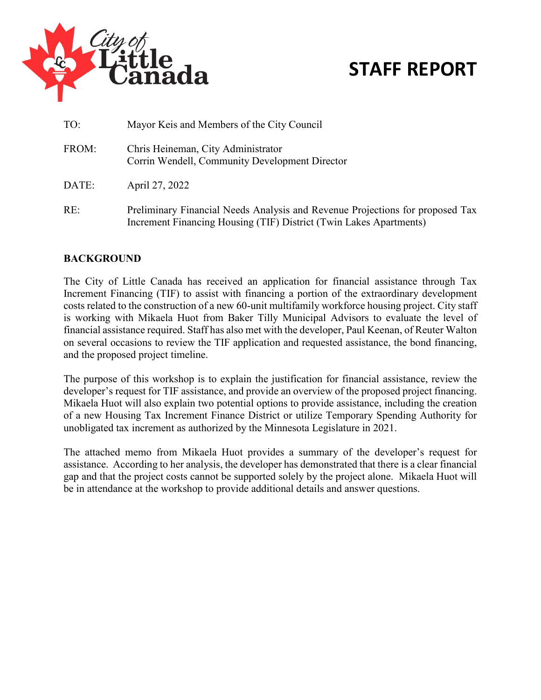

## **STAFF REPORT**

| TO:   | Mayor Keis and Members of the City Council                                                                                                          |
|-------|-----------------------------------------------------------------------------------------------------------------------------------------------------|
| FROM: | Chris Heineman, City Administrator<br>Corrin Wendell, Community Development Director                                                                |
| DATE: | April 27, 2022                                                                                                                                      |
| RE:   | Preliminary Financial Needs Analysis and Revenue Projections for proposed Tax<br>Increment Financing Housing (TIF) District (Twin Lakes Apartments) |

### **BACKGROUND**

The City of Little Canada has received an application for financial assistance through Tax Increment Financing (TIF) to assist with financing a portion of the extraordinary development costs related to the construction of a new 60-unit multifamily workforce housing project. City staff is working with Mikaela Huot from Baker Tilly Municipal Advisors to evaluate the level of financial assistance required. Staff has also met with the developer, Paul Keenan, of Reuter Walton on several occasions to review the TIF application and requested assistance, the bond financing, and the proposed project timeline.

The purpose of this workshop is to explain the justification for financial assistance, review the developer's request for TIF assistance, and provide an overview of the proposed project financing. Mikaela Huot will also explain two potential options to provide assistance, including the creation of a new Housing Tax Increment Finance District or utilize Temporary Spending Authority for unobligated tax increment as authorized by the Minnesota Legislature in 2021.

The attached memo from Mikaela Huot provides a summary of the developer's request for assistance. According to her analysis, the developer has demonstrated that there is a clear financial gap and that the project costs cannot be supported solely by the project alone. Mikaela Huot will be in attendance at the workshop to provide additional details and answer questions.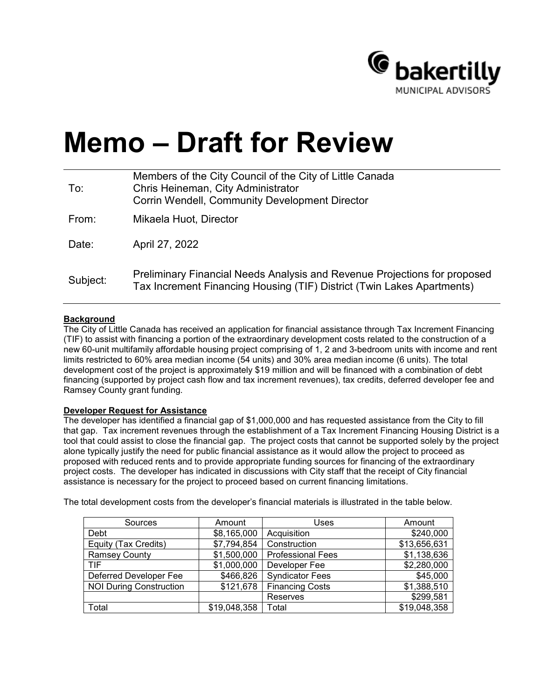

# **Memo – Draft for Review**

| To:      | Members of the City Council of the City of Little Canada<br>Chris Heineman, City Administrator<br><b>Corrin Wendell, Community Development Director</b> |
|----------|---------------------------------------------------------------------------------------------------------------------------------------------------------|
| From:    | Mikaela Huot, Director                                                                                                                                  |
| Date:    | April 27, 2022                                                                                                                                          |
| Subject: | Preliminary Financial Needs Analysis and Revenue Projections for proposed<br>Tax Increment Financing Housing (TIF) District (Twin Lakes Apartments)     |

#### **Background**

The City of Little Canada has received an application for financial assistance through Tax Increment Financing (TIF) to assist with financing a portion of the extraordinary development costs related to the construction of a new 60-unit multifamily affordable housing project comprising of 1, 2 and 3-bedroom units with income and rent limits restricted to 60% area median income (54 units) and 30% area median income (6 units). The total development cost of the project is approximately \$19 million and will be financed with a combination of debt financing (supported by project cash flow and tax increment revenues), tax credits, deferred developer fee and Ramsey County grant funding.

#### **Developer Request for Assistance**

The developer has identified a financial gap of \$1,000,000 and has requested assistance from the City to fill that gap. Tax increment revenues through the establishment of a Tax Increment Financing Housing District is a tool that could assist to close the financial gap. The project costs that cannot be supported solely by the project alone typically justify the need for public financial assistance as it would allow the project to proceed as proposed with reduced rents and to provide appropriate funding sources for financing of the extraordinary project costs. The developer has indicated in discussions with City staff that the receipt of City financial assistance is necessary for the project to proceed based on current financing limitations.

| Sources                        | Amount       | Uses                     | Amount       |  |
|--------------------------------|--------------|--------------------------|--------------|--|
| Debt                           | \$8,165,000  | Acquisition              | \$240,000    |  |
| Equity (Tax Credits)           | \$7,794,854  | Construction             | \$13,656,631 |  |
| <b>Ramsey County</b>           | \$1,500,000  | <b>Professional Fees</b> | \$1,138,636  |  |
| TIF                            | \$1,000,000  | Developer Fee            | \$2,280,000  |  |
| Deferred Developer Fee         | \$466,826    | <b>Syndicator Fees</b>   | \$45,000     |  |
| <b>NOI During Construction</b> | \$121,678    | <b>Financing Costs</b>   | \$1,388,510  |  |
|                                |              | Reserves                 | \$299,581    |  |
| Total                          | \$19,048,358 | Total                    | \$19,048,358 |  |

The total development costs from the developer's financial materials is illustrated in the table below.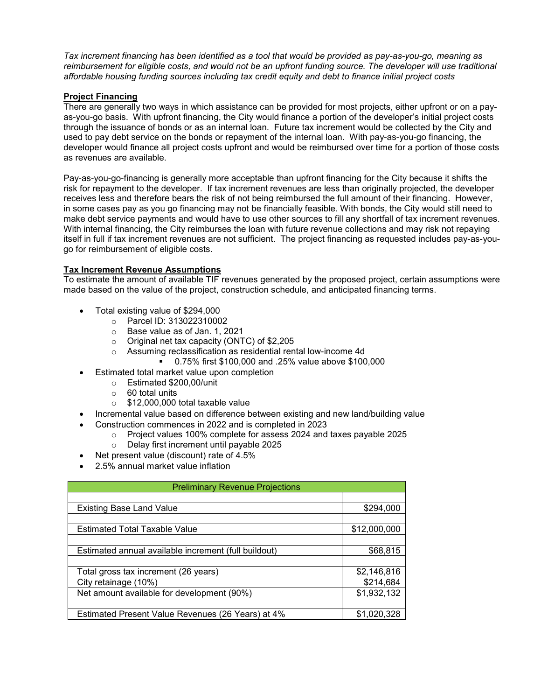*Tax increment financing has been identified as a tool that would be provided as pay-as-you-go, meaning as*  reimbursement for eligible costs, and would not be an upfront funding source. The developer will use traditional *affordable housing funding sources including tax credit equity and debt to finance initial project costs* 

#### **Project Financing**

There are generally two ways in which assistance can be provided for most projects, either upfront or on a payas-you-go basis. With upfront financing, the City would finance a portion of the developer's initial project costs through the issuance of bonds or as an internal loan. Future tax increment would be collected by the City and used to pay debt service on the bonds or repayment of the internal loan. With pay-as-you-go financing, the developer would finance all project costs upfront and would be reimbursed over time for a portion of those costs as revenues are available.

Pay-as-you-go-financing is generally more acceptable than upfront financing for the City because it shifts the risk for repayment to the developer. If tax increment revenues are less than originally projected, the developer receives less and therefore bears the risk of not being reimbursed the full amount of their financing. However, in some cases pay as you go financing may not be financially feasible. With bonds, the City would still need to make debt service payments and would have to use other sources to fill any shortfall of tax increment revenues. With internal financing, the City reimburses the loan with future revenue collections and may risk not repaying itself in full if tax increment revenues are not sufficient. The project financing as requested includes pay-as-yougo for reimbursement of eligible costs.

#### **Tax Increment Revenue Assumptions**

To estimate the amount of available TIF revenues generated by the proposed project, certain assumptions were made based on the value of the project, construction schedule, and anticipated financing terms.

- Total existing value of \$294,000
	- o Parcel ID: 313022310002
	- o Base value as of Jan. 1, 2021
	- o Original net tax capacity (ONTC) of \$2,205
	- o Assuming reclassification as residential rental low-income 4d
		- 0.75% first \$100,000 and .25% value above \$100,000
- Estimated total market value upon completion
	- $\circ$  Estimated \$200,00/unit<br> $\circ$  60 total units
	- 60 total units
	- $\circ$  \$12,000,000 total taxable value
- Incremental value based on difference between existing and new land/building value
	- Construction commences in 2022 and is completed in 2023
		- o Project values 100% complete for assess 2024 and taxes payable 2025
			- o Delay first increment until payable 2025
- Net present value (discount) rate of 4.5%
- 2.5% annual market value inflation

| <b>Preliminary Revenue Projections</b>               |              |
|------------------------------------------------------|--------------|
|                                                      |              |
| <b>Existing Base Land Value</b>                      | \$294,000    |
|                                                      |              |
| <b>Estimated Total Taxable Value</b>                 | \$12,000,000 |
|                                                      |              |
| Estimated annual available increment (full buildout) | \$68,815     |
|                                                      |              |
| Total gross tax increment (26 years)                 | \$2,146,816  |
| City retainage (10%)                                 | \$214,684    |
| Net amount available for development (90%)           | \$1,932,132  |
|                                                      |              |
| Estimated Present Value Revenues (26 Years) at 4%    | \$1,020,328  |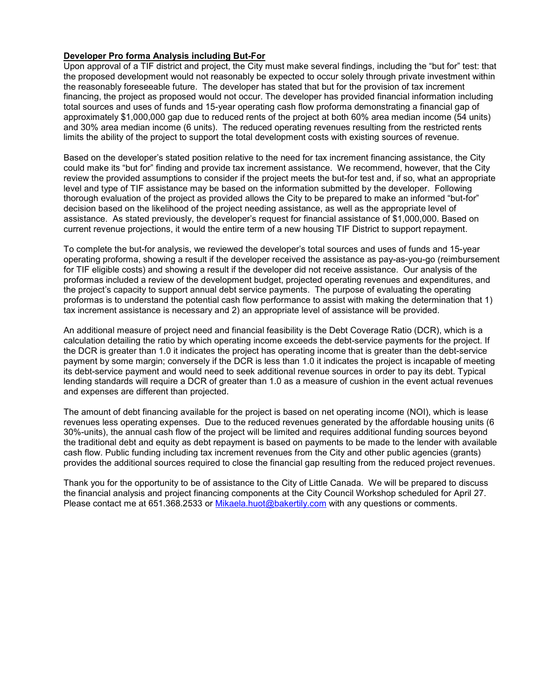#### **Developer Pro forma Analysis including But-For**

Upon approval of a TIF district and project, the City must make several findings, including the "but for" test: that the proposed development would not reasonably be expected to occur solely through private investment within the reasonably foreseeable future. The developer has stated that but for the provision of tax increment financing, the project as proposed would not occur. The developer has provided financial information including total sources and uses of funds and 15-year operating cash flow proforma demonstrating a financial gap of approximately \$1,000,000 gap due to reduced rents of the project at both 60% area median income (54 units) and 30% area median income (6 units). The reduced operating revenues resulting from the restricted rents limits the ability of the project to support the total development costs with existing sources of revenue.

Based on the developer's stated position relative to the need for tax increment financing assistance, the City could make its "but for" finding and provide tax increment assistance. We recommend, however, that the City review the provided assumptions to consider if the project meets the but-for test and, if so, what an appropriate level and type of TIF assistance may be based on the information submitted by the developer. Following thorough evaluation of the project as provided allows the City to be prepared to make an informed "but-for" decision based on the likelihood of the project needing assistance, as well as the appropriate level of assistance. As stated previously, the developer's request for financial assistance of \$1,000,000. Based on current revenue projections, it would the entire term of a new housing TIF District to support repayment.

To complete the but-for analysis, we reviewed the developer's total sources and uses of funds and 15-year operating proforma, showing a result if the developer received the assistance as pay-as-you-go (reimbursement for TIF eligible costs) and showing a result if the developer did not receive assistance. Our analysis of the proformas included a review of the development budget, projected operating revenues and expenditures, and the project's capacity to support annual debt service payments. The purpose of evaluating the operating proformas is to understand the potential cash flow performance to assist with making the determination that 1) tax increment assistance is necessary and 2) an appropriate level of assistance will be provided.

An additional measure of project need and financial feasibility is the Debt Coverage Ratio (DCR), which is a calculation detailing the ratio by which operating income exceeds the debt-service payments for the project. If the DCR is greater than 1.0 it indicates the project has operating income that is greater than the debt-service payment by some margin; conversely if the DCR is less than 1.0 it indicates the project is incapable of meeting its debt-service payment and would need to seek additional revenue sources in order to pay its debt. Typical lending standards will require a DCR of greater than 1.0 as a measure of cushion in the event actual revenues and expenses are different than projected.

The amount of debt financing available for the project is based on net operating income (NOI), which is lease revenues less operating expenses. Due to the reduced revenues generated by the affordable housing units (6 30%-units), the annual cash flow of the project will be limited and requires additional funding sources beyond the traditional debt and equity as debt repayment is based on payments to be made to the lender with available cash flow. Public funding including tax increment revenues from the City and other public agencies (grants) provides the additional sources required to close the financial gap resulting from the reduced project revenues.

Thank you for the opportunity to be of assistance to the City of Little Canada. We will be prepared to discuss the financial analysis and project financing components at the City Council Workshop scheduled for April 27. Please contact me at 651.368.2533 or [Mikaela.huot@bakertily.com](mailto:Mikaela.huot@bakertily.com) with any questions or comments.